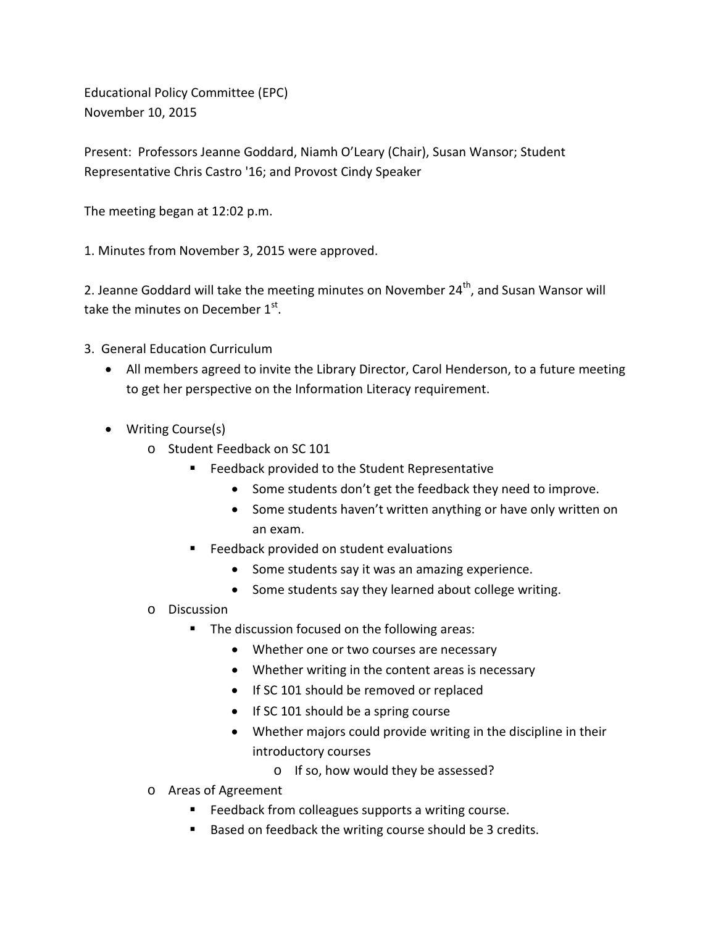Educational Policy Committee (EPC) November 10, 2015

Present: Professors Jeanne Goddard, Niamh O'Leary (Chair), Susan Wansor; Student Representative Chris Castro '16; and Provost Cindy Speaker

The meeting began at 12:02 p.m.

1. Minutes from November 3, 2015 were approved.

2. Jeanne Goddard will take the meeting minutes on November 24<sup>th</sup>, and Susan Wansor will take the minutes on December 1st.

- 3. General Education Curriculum
	- All members agreed to invite the Library Director, Carol Henderson, to a future meeting to get her perspective on the Information Literacy requirement.
	- Writing Course(s)
		- o Student Feedback on SC 101
			- **Feedback provided to the Student Representative** 
				- Some students don't get the feedback they need to improve.
				- Some students haven't written anything or have only written on an exam.
			- **Feedback provided on student evaluations** 
				- Some students say it was an amazing experience.
				- Some students say they learned about college writing.
		- o Discussion
			- **The discussion focused on the following areas:** 
				- Whether one or two courses are necessary
				- Whether writing in the content areas is necessary
				- If SC 101 should be removed or replaced
				- If SC 101 should be a spring course
				- Whether majors could provide writing in the discipline in their introductory courses
					- o If so, how would they be assessed?
		- o Areas of Agreement
			- **Feedback from colleagues supports a writing course.**
			- Based on feedback the writing course should be 3 credits.